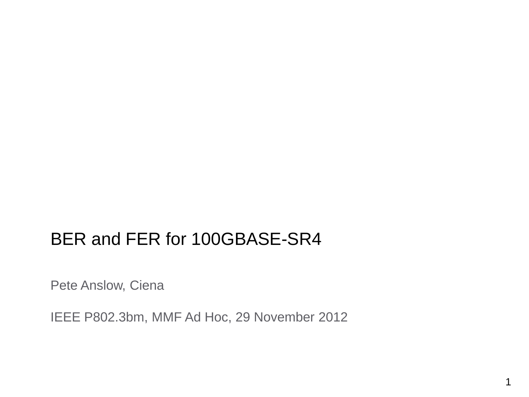#### BER and FER for 100GBASE-SR4

Pete Anslow, Ciena

IEEE P802.3bm, MMF Ad Hoc, 29 November 2012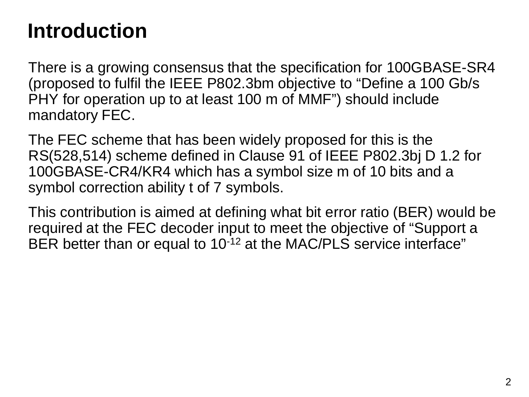#### **Introduction**

There is a growing consensus that the specification for 100GBASE-SR4 (proposed to fulfil the IEEE P802.3bm objective to "Define a 100 Gb/s PHY for operation up to at least 100 m of MMF") should include mandatory FEC.

The FEC scheme that has been widely proposed for this is the RS(528,514) scheme defined in Clause 91 of IEEE P802.3bj D 1.2 for 100GBASE-CR4/KR4 which has a symbol size m of 10 bits and a symbol correction ability t of 7 symbols.

This contribution is aimed at defining what bit error ratio (BER) would be required at the FEC decoder input to meet the objective of "Support a BER better than or equal to 10<sup>-12</sup> at the MAC/PLS service interface"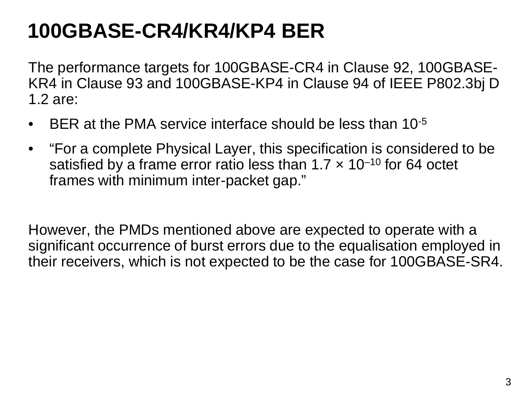# **100GBASE-CR4/KR4/KP4 BER**

The performance targets for 100GBASE-CR4 in Clause 92, 100GBASE-KR4 in Clause 93 and 100GBASE-KP4 in Clause 94 of IEEE P802.3bj D 1.2 are:

- BER at the PMA service interface should be less than 10<sup>-5</sup>
- "For a complete Physical Layer, this specification is considered to be satisfied by a frame error ratio less than  $1.7 \times 10^{-10}$  for 64 octet frames with minimum inter-packet gap."

However, the PMDs mentioned above are expected to operate with a significant occurrence of burst errors due to the equalisation employed in their receivers, which is not expected to be the case for 100GBASE-SR4.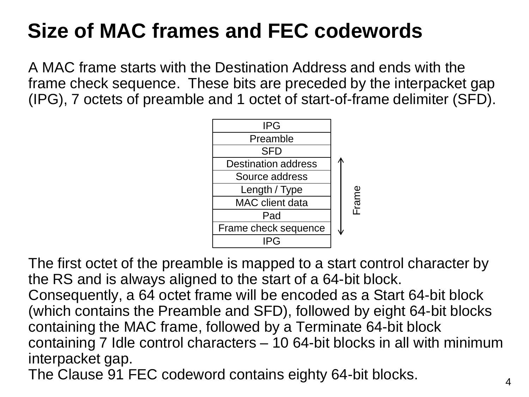# **Size of MAC frames and FEC codewords**

A MAC frame starts with the Destination Address and ends with the frame check sequence. These bits are preceded by the interpacket gap (IPG), 7 octets of preamble and 1 octet of start-of-frame delimiter (SFD).



The first octet of the preamble is mapped to a start control character by the RS and is always aligned to the start of a 64-bit block. Consequently, a 64 octet frame will be encoded as a Start 64-bit block (which contains the Preamble and SFD), followed by eight 64-bit blocks containing the MAC frame, followed by a Terminate 64-bit block containing 7 Idle control characters – 10 64-bit blocks in all with minimum interpacket gap.

The Clause 91 FEC codeword contains eighty 64-bit blocks.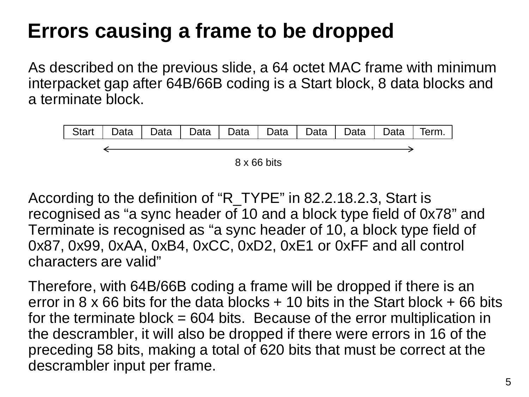# **Errors causing a frame to be dropped**

As described on the previous slide, a 64 octet MAC frame with minimum interpacket gap after 64B/66B coding is a Start block, 8 data blocks and a terminate block.



According to the definition of "R\_TYPE" in 82.2.18.2.3, Start is recognised as "a sync header of 10 and a block type field of 0x78" and Terminate is recognised as "a sync header of 10, a block type field of 0x87, 0x99, 0xAA, 0xB4, 0xCC, 0xD2, 0xE1 or 0xFF and all control characters are valid"

Therefore, with 64B/66B coding a frame will be dropped if there is an error in  $8 \times 66$  bits for the data blocks  $+ 10$  bits in the Start block  $+ 66$  bits for the terminate block  $= 604$  bits. Because of the error multiplication in the descrambler, it will also be dropped if there were errors in 16 of the preceding 58 bits, making a total of 620 bits that must be correct at the descrambler input per frame.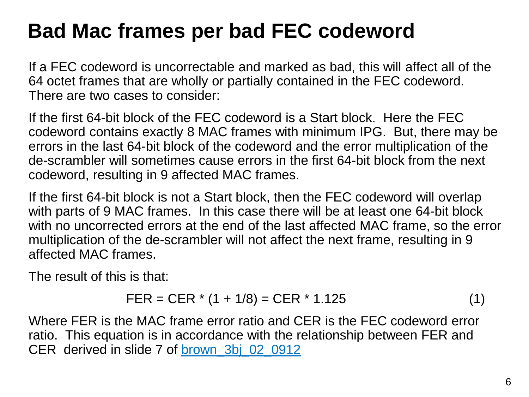### **Bad Mac frames per bad FEC codeword**

If a FEC codeword is uncorrectable and marked as bad, this will affect all of the 64 octet frames that are wholly or partially contained in the FEC codeword. There are two cases to consider:

If the first 64-bit block of the FEC codeword is a Start block. Here the FEC codeword contains exactly 8 MAC frames with minimum IPG. But, there may be errors in the last 64-bit block of the codeword and the error multiplication of the de-scrambler will sometimes cause errors in the first 64-bit block from the next codeword, resulting in 9 affected MAC frames.

If the first 64-bit block is not a Start block, then the FEC codeword will overlap with parts of 9 MAC frames. In this case there will be at least one 64-bit block with no uncorrected errors at the end of the last affected MAC frame, so the error multiplication of the de-scrambler will not affect the next frame, resulting in 9 affected MAC frames.

The result of this is that:

$$
FER = CER * (1 + 1/8) = CER * 1.125 \tag{1}
$$

Where FER is the MAC frame error ratio and CER is the FEC codeword error ratio. This equation is in accordance with the relationship between FER and CER derived in slide 7 of [brown\\_3bj\\_02\\_0912](http://www.ieee802.org/3/bj/public/sep12/brown_3bj_02_0912.pdf)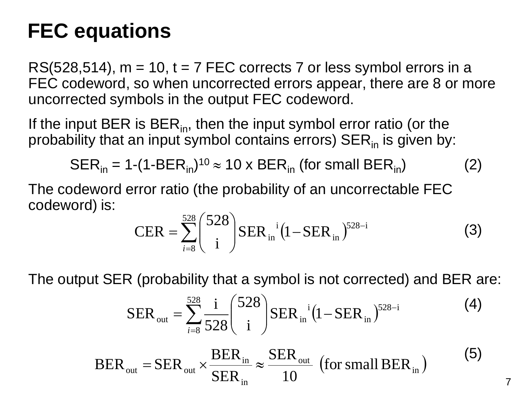#### **FEC equations**

 $RS(528,514)$ ,  $m = 10$ ,  $t = 7$  FEC corrects 7 or less symbol errors in a FEC codeword, so when uncorrected errors appear, there are 8 or more uncorrected symbols in the output FEC codeword.

If the input BER is BER $_{in}$ , then the input symbol error ratio (or the probability that an input symbol contains errors)  $SER_{in}$  is given by:

$$
SER_{in} = 1-(1-BER_{in})^{10} \approx 10 \times BER_{in} \text{ (for small BER}_{in} \text{)} \tag{2}
$$

The codeword error ratio (the probability of an uncorrectable FEC codeword) is:

$$
CER = \sum_{i=8}^{528} {528 \choose i} SER_{in}^{i} (1 - SER_{in})^{528-i}
$$
 (3)

The output SER (probability that a symbol is not corrected) and BER are:

$$
SER_{\text{out}} = \sum_{i=8}^{528} \frac{i}{528} {528 \choose i} SER_{\text{in}}^{i} (1-SER_{\text{in}})^{528-i}
$$
 (4)

7

$$
BER_{\text{out}} = SER_{\text{out}} \times \frac{BER_{\text{in}}}{SER_{\text{in}}} \approx \frac{SER_{\text{out}}}{10} \text{ (for small BER}_{\text{in}}\text{)} \tag{5}
$$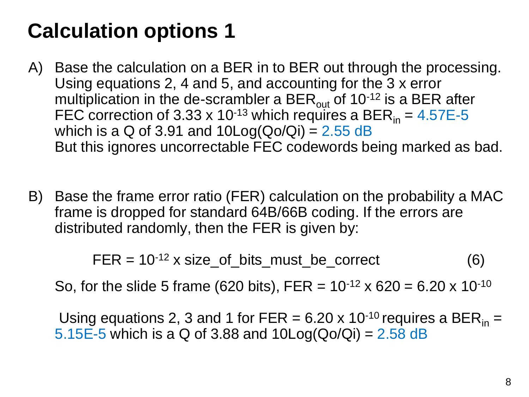# **Calculation options 1**

- A) Base the calculation on a BER in to BER out through the processing. Using equations 2, 4 and 5, and accounting for the 3 x error multiplication in the de-scrambler a BER $_{out}$  of 10<sup>-12</sup> is a BER after FEC correction of 3.33 x 10<sup>-13</sup> which requires a BER<sub>in</sub> =  $4.57E-5$ which is a Q of 3.91 and  $10Log(Qo/Qi) = 2.55 dB$ But this ignores uncorrectable FEC codewords being marked as bad.
- B) Base the frame error ratio (FER) calculation on the probability a MAC frame is dropped for standard 64B/66B coding. If the errors are distributed randomly, then the FER is given by:

 $FER = 10^{-12} \times size\_of\_bits\_must\_be\_correct$  (6)

So, for the slide 5 frame (620 bits), FER =  $10^{-12}$  x 620 = 6.20 x 10<sup>-10</sup>

Using equations 2, 3 and 1 for FER = 6.20 x 10<sup>-10</sup> requires a BER<sub>in</sub> = 5.15E-5 which is a Q of 3.88 and  $10Log(Qo/Qi) = 2.58$  dB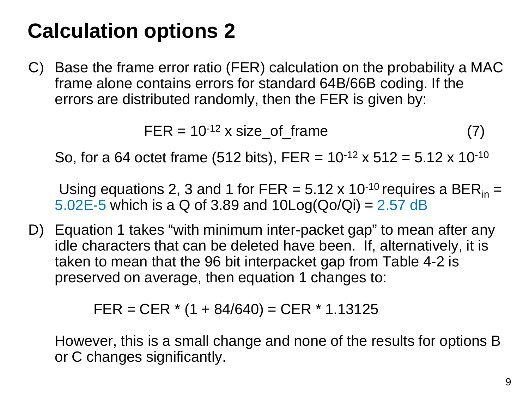# **Calculation options 2**

C) Base the frame error ratio (FER) calculation on the probability a MAC frame alone contains errors for standard 64B/66B coding. If the errors are distributed randomly, then the FER is given by:

$$
FER = 10^{-12} \times size\_of\_frame
$$
 (7)

So, for a 64 octet frame (512 bits), FER =  $10^{-12}$  x 512 = 5.12 x 10<sup>-10</sup>

Using equations 2, 3 and 1 for FER =  $5.12 \times 10^{-10}$  requires a BER<sub>in</sub> = 5.02E-5 which is a Q of 3.89 and  $10Log(Qo/Qi) = 2.57$  dB

D) Equation 1 takes "with minimum inter-packet gap" to mean after any idle characters that can be deleted have been. If, alternatively, it is taken to mean that the 96 bit interpacket gap from Table 4-2 is preserved on average, then equation 1 changes to:

 $FER = CER * (1 + 84/640) = CER * 1.13125$ 

However, this is a small change and none of the results for options B or C changes significantly.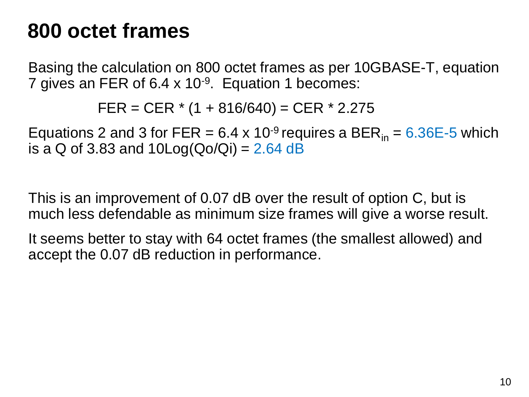#### **800 octet frames**

Basing the calculation on 800 octet frames as per 10GBASE-T, equation 7 gives an FER of 6.4  $\times$  10<sup>-9</sup>. Equation 1 becomes:

FER = CER  $*$  (1 + 816/640) = CER  $*$  2.275

Equations 2 and 3 for FER =  $6.4 \times 10^{-9}$  requires a BER<sub>in</sub> =  $6.36E$ -5 which is a Q of 3.83 and  $10Log(Qo/Qi) = 2.64 dB$ 

This is an improvement of 0.07 dB over the result of option C, but is much less defendable as minimum size frames will give a worse result.

It seems better to stay with 64 octet frames (the smallest allowed) and accept the 0.07 dB reduction in performance.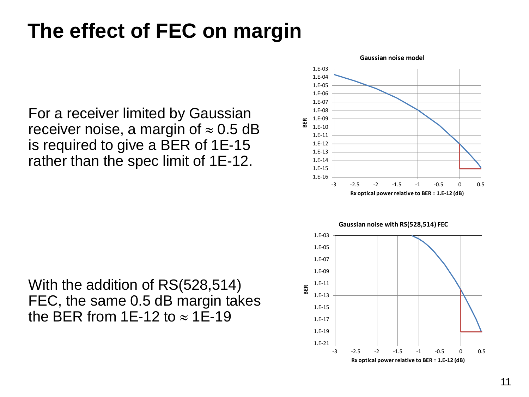# **The effect of FEC on margin**

For a receiver limited by Gaussian receiver noise, a margin of  $\approx 0.5$  dB is required to give a BER of 1E-15 rather than the spec limit of 1E-12.

With the addition of RS(528,514) FEC, the same 0.5 dB margin takes the BER from 1E-12 to  $\approx$  1E-19



**Gaussian noise model**



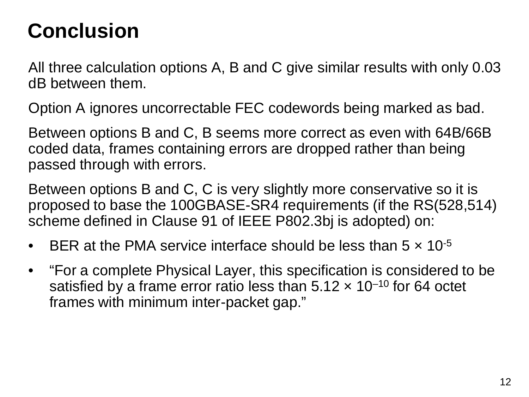### **Conclusion**

All three calculation options A, B and C give similar results with only 0.03 dB between them.

Option A ignores uncorrectable FEC codewords being marked as bad.

Between options B and C, B seems more correct as even with 64B/66B coded data, frames containing errors are dropped rather than being passed through with errors.

Between options B and C, C is very slightly more conservative so it is proposed to base the 100GBASE-SR4 requirements (if the RS(528,514) scheme defined in Clause 91 of IEEE P802.3bj is adopted) on:

- BER at the PMA service interface should be less than  $5 \times 10^{-5}$
- "For a complete Physical Layer, this specification is considered to be satisfied by a frame error ratio less than  $5.12 \times 10^{-10}$  for 64 octet frames with minimum inter-packet gap."